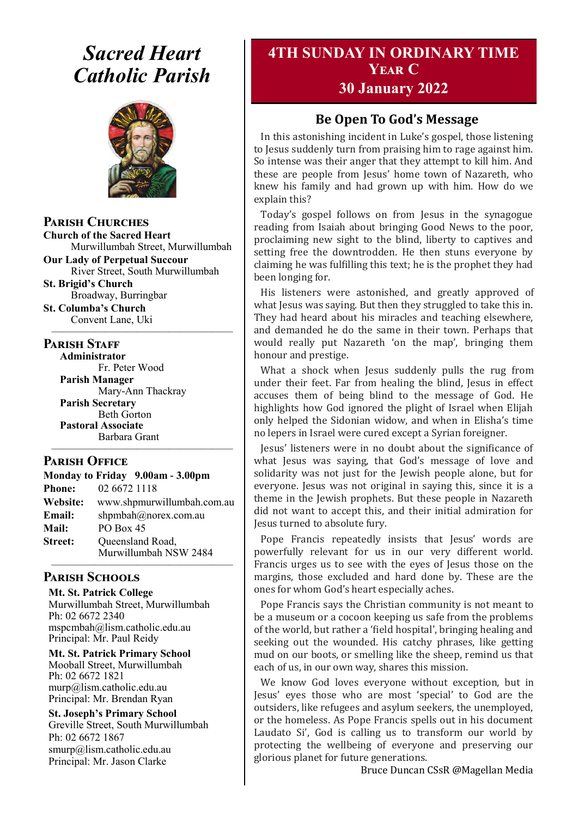# *Sacred Heart Catholic Parish*



**Parish Churches**

**Church of the Sacred Heart** Murwillumbah Street, Murwillumbah

**Our Lady of Perpetual Succour** River Street, South Murwillumbah

**St. Brigid's Church** Broadway, Burringbar

**St. Columba's Church** Convent Lane, Uki —————————————————

#### **PARISH STAFF**

**Administrator** Fr. Peter Wood **Parish Manager** Mary-Ann Thackray **Parish Secretary** Beth Gorton

**Pastoral Associate** Barbara Grant —————————————————

#### **Parish Office**

|                | Monday to Friday 9.00am - 3.00pm          |
|----------------|-------------------------------------------|
| <b>Phone:</b>  | 02 6672 1118                              |
| Website:       | www.shpmurwillumbah.com.au                |
| Email:         | shpmbah@norex.com.au                      |
| <b>Mail:</b>   | <b>PO Box 45</b>                          |
| <b>Street:</b> | Queensland Road,<br>Murwillumbah NSW 2484 |

#### ————————————————— **Parish Schools**

**Mt. St. Patrick College** Murwillumbah Street, Murwillumbah Ph: 02 6672 2340 mspcmbah@lism.catholic.edu.au Principal: Mr. Paul Reidy

**Mt. St. Patrick Primary School** Mooball Street, Murwillumbah Ph: 02 6672 1821 murp@lism.catholic.edu.au Principal: Mr. Brendan Ryan

**St. Joseph's Primary School** Greville Street, South Murwillumbah Ph: 02 6672 1867 smurp@lism.catholic.edu.au Principal: Mr. Jason Clarke

# **4TH SUNDAY IN ORDINARY TIME Year C**

# **30 January 2022**

# **Be Open To God's Message**

In this astonishing incident in Luke's gospel, those listening to Jesus suddenly turn from praising him to rage against him. So intense was their anger that they attempt to kill him. And these are people from Jesus' home town of Nazareth, who knew his family and had grown up with him. How do we explain this?

Today's gospel follows on from Jesus in the synagogue reading from Isaiah about bringing Good News to the poor, proclaiming new sight to the blind, liberty to captives and setting free the downtrodden. He then stuns everyone by claiming he was fulfilling this text; he is the prophet they had been longing for.

His listeners were astonished, and greatly approved of what Jesus was saying. But then they struggled to take this in. They had heard about his miracles and teaching elsewhere, and demanded he do the same in their town. Perhaps that would really put Nazareth 'on the map', bringing them honour and prestige.

What a shock when Jesus suddenly pulls the rug from under their feet. Far from healing the blind, Jesus in effect accuses them of being blind to the message of God. He highlights how God ignored the plight of Israel when Elijah only helped the Sidonian widow, and when in Elisha's time no lepers in Israel were cured except a Syrian foreigner.

Jesus' listeners were in no doubt about the significance of what Jesus was saying, that God's message of love and solidarity was not just for the Jewish people alone, but for everyone. Jesus was not original in saying this, since it is a theme in the Jewish prophets. But these people in Nazareth did not want to accept this, and their initial admiration for Jesus turned to absolute fury.

Pope Francis repeatedly insists that Jesus' words are powerfully relevant for us in our very different world. Francis urges us to see with the eyes of Jesus those on the margins, those excluded and hard done by. These are the ones for whom God's heart especially aches.

Pope Francis says the Christian community is not meant to be a museum or a cocoon keeping us safe from the problems of the world, but rather a 'field hospital', bringing healing and seeking out the wounded. His catchy phrases, like getting mud on our boots, or smelling like the sheep, remind us that each of us, in our own way, shares this mission.

We know God loves everyone without exception, but in Jesus' eyes those who are most 'special' to God are the outsiders, like refugees and asylum seekers, the unemployed, or the homeless. As Pope Francis spells out in his document Laudato Si', God is calling us to transform our world by protecting the wellbeing of everyone and preserving our glorious planet for future generations.

Bruce Duncan CSsR @Magellan Media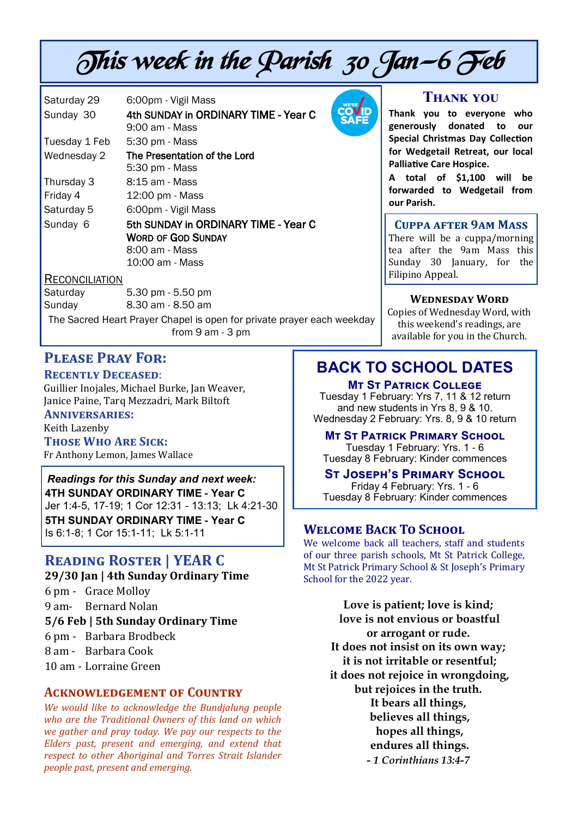# This week in the Parish 30 Jan—6 Feb

| 6:00pm - Vigil Mass                  |
|--------------------------------------|
| 4th SUNDAY in ORDINARY TIME - Year C |
| 9:00 am - Mass                       |
| 5:30 pm - Mass                       |
| The Presentation of the Lord         |
| 5:30 pm - Mass                       |
| 8:15 am - Mass                       |
| 12:00 pm - Mass                      |
| 6:00pm - Vigil Mass                  |
| 5th SUNDAY in ORDINARY TIME - Year C |
| <b>WORD OF GOD SUNDAY</b>            |
| 8:00 am - Mass                       |
| 10:00 am - Mass                      |
|                                      |

#### **RECONCILIATION**

| Saturday | 5.30 pm - 5.50 pm |
|----------|-------------------|
| Sunday   | 8.30 am - 8.50 am |

The Sacred Heart Prayer Chapel is open for private prayer each weekday from 9 am - 3 pm

# **Please Pray For:**

**Recently Deceased**:

Guillier Inojales, Michael Burke, Jan Weaver, Janice Paine, Tarq Mezzadri, Mark Biltoft

**Anniversaries:** 

Keith Lazenby

**Those Who Are Sick:**  Fr Anthony Lemon, James Wallace

*Readings for this Sunday and next week:*  **4TH SUNDAY ORDINARY TIME - Year C** Jer 1:4-5, 17-19; 1 Cor 12:31 - 13:13; Lk 4:21-30 **5TH SUNDAY ORDINARY TIME - Year C** Is 6:1-8; 1 Cor 15:1-11; Lk 5:1-11

# **Reading Roster | YEAR C**

**29/30 Jan | 4th Sunday Ordinary Time** 

6 pm - Grace Molloy

9 am- Bernard Nolan

#### **5/6 Feb | 5th Sunday Ordinary Time**

6 pm - Barbara Brodbeck

8 am - Barbara Cook

10 am - Lorraine Green

#### **Acknowledgement of Country**

*We would like to acknowledge the Bundjalung people who are the Traditional Owners of this land on which we gather and pray today. We pay our respects to the Elders past, present and emerging, and extend that respect to other Aboriginal and Torres Strait Islander people past, present and emerging.* 



#### **Thank you**

**Thank you to everyone who generously donated to our Special Christmas Day Collection for Wedgetail Retreat, our local Palliative Care Hospice.** 

**A total of \$1,100 will be forwarded to Wedgetail from our Parish.** 

#### **Cuppa after 9am Mass**

There will be a cuppa/morning tea after the 9am Mass this Sunday 30 January, for the Filipino Appeal.

#### **Wednesday Word**

Copies of Wednesday Word, with this weekend's readings, are available for you in the Church.

# **BACK TO SCHOOL DATES**

**Mt St Patrick College** Tuesday 1 February: Yrs 7, 11 & 12 return and new students in Yrs 8, 9 & 10. Wednesday 2 February: Yrs. 8, 9 & 10 return

**MT ST PATRICK PRIMARY SCHOOL** Tuesday 1 February: Yrs. 1 - 6 Tuesday 8 February: Kinder commences

**St Joseph's Primary School** Friday 4 February: Yrs. 1 - 6 Tuesday 8 February: Kinder commences

#### **Welcome Back To School**

We welcome back all teachers, staff and students of our three parish schools, Mt St Patrick College, Mt St Patrick Primary School & St Joseph's Primary School for the 2022 year.

> **Love is patient; love is kind; love is not envious or boastful or arrogant or rude. It does not insist on its own way; it is not irritable or resentful; it does not rejoice in wrongdoing, but rejoices in the truth. It bears all things, believes all things, hopes all things, endures all things.** *- 1 Corinthians 13:4-7*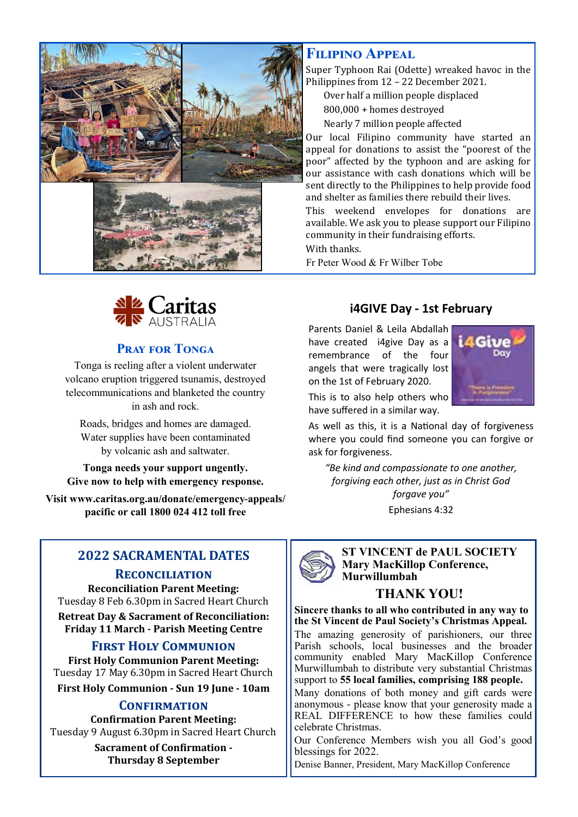



#### **Pray for Tonga**

Tonga is reeling after a violent underwater volcano eruption triggered tsunamis, destroyed telecommunications and blanketed the country in ash and rock.

Roads, bridges and homes are damaged. Water supplies have been contaminated by volcanic ash and saltwater.

**Tonga needs your support ungently. Give now to help with emergency response.** 

**Visit www.caritas.org.au/donate/emergency-appeals/ pacific or call 1800 024 412 toll free** 

# **Filipino Appeal**

Super Typhoon Rai (Odette) wreaked havoc in the Philippines from 12 – 22 December 2021.

Over half a million people displaced 800,000 + homes destroyed Nearly 7 million people affected

Our local Filipino community have started an appeal for donations to assist the "poorest of the poor" affected by the typhoon and are asking for our assistance with cash donations which will be sent directly to the Philippines to help provide food and shelter as families there rebuild their lives.

This weekend envelopes for donations are available. We ask you to please support our Filipino community in their fundraising efforts. With thanks.

Fr Peter Wood & Fr Wilber Tobe

#### **i4GIVE Day - 1st February**

Parents Daniel & Leila Abdallah have created i4give Day as a remembrance of the four angels that were tragically lost on the 1st of February 2020.



This is to also help others who have suffered in a similar way.

As well as this, it is a National day of forgiveness where you could find someone you can forgive or ask for forgiveness.

*"Be kind and compassionate to one another, forgiving each other, just as in Christ God forgave you"* Ephesians 4:32

# **2022 SACRAMENTAL DATES**

**Reconciliation**

**Reconciliation Parent Meeting:** Tuesday 8 Feb 6.30pm in Sacred Heart Church

**Retreat Day & Sacrament of Reconciliation: Friday 11 March - Parish Meeting Centre**

## **First Holy Communion**

**First Holy Communion Parent Meeting:** Tuesday 17 May 6.30pm in Sacred Heart Church **First Holy Communion - Sun 19 June - 10am** 

## **Confirmation**

**Confirmation Parent Meeting:** Tuesday 9 August 6.30pm in Sacred Heart Church

> **Sacrament of Confirmation - Thursday 8 September**



**ST VINCENT de PAUL SOCIETY Mary MacKillop Conference, Murwillumbah** 

# **THANK YOU!**

**Sincere thanks to all who contributed in any way to the St Vincent de Paul Society's Christmas Appeal.** 

The amazing generosity of parishioners, our three Parish schools, local businesses and the broader community enabled Mary MacKillop Conference Murwillumbah to distribute very substantial Christmas support to **55 local families, comprising 188 people.** 

Many donations of both money and gift cards were anonymous - please know that your generosity made a REAL DIFFERENCE to how these families could celebrate Christmas.

Our Conference Members wish you all God's good blessings for 2022.

Denise Banner, President, Mary MacKillop Conference